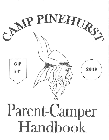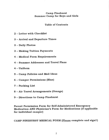#### **Camp Pinehurst Summer Camp for Boys and Girls**

#### **Table of Contents**

- 2 Letter with Checklist
- 3 Arrival and Departure Times
- 3 Daily Photos
- 3 Making Tuition Payments
- 4 Medical Form Requirements
- 4 Summer Addresses and Travel Plans
- $4 Uniform$
- 5 Camp Policies and Mail Ideas
- 6 Camper Permissions (Blue)
- 7 Packing List
- 8 Air Travel Arrangements (Orange)
- 9 Directions to Camp Pinehurst

Parent Permission Form for Self-Administered Emergency **Medication AND Physician's Form for Medications (if applicable** for individual camper)

CAMP PINEHURST MEDICAL FORM (Please complete and sign!!)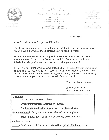

Free Mill For Peter SE & MPS C. HARREY OF MIS

Camp Pinehurst<br>Summer Camp for Boys and Girls

23 Curtis Road Raymond Maine 04071 Telephone: 207-627-4670 FAX: 207-627-4793 www.camppinehurst.com director@camppinehurst.com

作用 下宫 AP & MALDIN CLYN THE PROGRESSIT Toppenetrat Att SOL + ELEMENT 207027-45.71

MR & MRS JOHN J CHRIST R 12 CIOSR LANE **TRASHOA, NEW HAMPSHIRE OVIGS** TAXISTIN HOND BER 880 6287

2019 Season

Dear Camp Pinehurst Campers and Families,

Thank you for joining us for Camp Pinehurst's 74th Season! We are so excited to spend the summer with our campers and staff in beautiful Maine!

Handbook includes answers to frequently asked questions, a packing list and medical forms. Please know that we are available by phone or email, and Elizabeth can help with any concerns about packing or uniforms!

If you have any questions, please send us an email (director  $@$  camppine hurst.com) or give us a call  $(603-880-6287)$  for Jack & Elizabeth during the school year and 207-627-4670 for all four directors during the summer). We are more than happy to help! We want your kids to have a wonderful experience!

Your friends and directors,

John & Jean Curtis Jack & Elizabeth Curtis

| <b>Checklist:</b><br>- Make tuition payments, please.                   |
|-------------------------------------------------------------------------|
| - Order uniforms from AmeraSport, please.                               |
| - Mail signed medical forms and current physical with                   |
| <b>immunizations</b> before your camper(s) arrive at Pinehurst, please. |
| - Send summer travel plans with emergency phone numbers if              |
| applicable, please.                                                     |
| - Read camp policies and send signed blue permission form, please.      |
|                                                                         |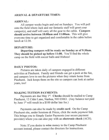#### ARRIVAL & DEPARTURE TIMES:

#### ARRIVAL:

All camper weeks begin and end on Sundays. You will pull onto the field where Jack and our fantastic staff will greet your camper(s), and staff will carry all the gear to the cabin. Campers should arrive between 10:00am and 11:00am. This will give everyone time to get organized and comfortable in the cabin before lunch at 12:30.

#### DEPARTURE:

Departing campers will be ready on Sunday as of 9:30am. They should be picked up before 11:00. You'll find the whole camp on the field with soccer balls and frisbees !

#### DAILY PHOTOS:

Pictures are taken daily of campers engaged in different activities at Pinehurst. Family and friends can get a peek at the fun, and campers love to see the picfures when they return home from Pinehurst. Jack keeps them on the site so campers can look at earlier years, too!

## MAKING TUITION PAYMENTS:

Payments are due May  $1<sup>st</sup>$ . Checks should be mailed to Camp Pinehurst, 12 Cider Lane, Nashua, NH 03063. (Any balance not paid by June  $1<sup>st</sup>$  will result in a \$100 dollar late fee.)

Payments can also be made by credit card. On the Camp Pinehurst site, under Sessions & Prices, click the make payment link. This brings you to Simply Easier Payments (our secure payment provider) where you can also pay with an electronic check (ACH).

Note: If you desire to wire money to the Camp Pinehurst account instead, please contact the directors for instructions.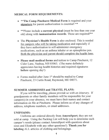## MEDICAL FORM REQUIREMENTS:

- \*\*The Camp Pinehurst Medical Form is required and your signature for parent authorization is essential!  $**$
- \*\*Please include a current physical (must be less than one year old) along with immunization records. These are required!\*\*
- The Physician's Health Form is also enclosed. This is needed for campers who will be taking medication and especially if they have authorization to self-administer emergency medications, such as an asthma inhaler or an epinephrine pen. Both the physician and parent should complete the health form.
- o Please mail medical forms and fuition to Camp Pinehurst,12 Cider Lane, Nashua, NH 03063. (The nurse definitely appreciates having health histories and required signatures before opening day!)
- $\bullet$  Forms mailed after June 1<sup>st</sup> should be mailed to Camp Pinehurst,23 Curtis Road, Raymond, ME 04071.

# SUMMER ADDRESSES and TRAVEL PLANS:

If you will be traveling, please provide us with an itinerary. If grandparents or other family members will be responsible for your camper(s) in your absence, wo must have their names and contact information on file at Pinehurst. Please inform us of any changes of address, telephone numbers, or email addresses.

## UNIFORMS:

Uniforms are ordered directly from AmeraSport; they are not sold at camp. Using the Packing List will help you to determine each camper's needs (please contact AmeraSport with questions about sizes and Elizabeth with any other questions!). Thank you for labeling ALL articles of clothing and belongings.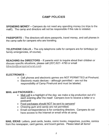# GAMP POLICIES

SPENDING MONEY - Campers do not need any spending money (no trips to the mall!). The camp and directors will not be responsible if this rule is violated.

PASSPORTS - The directors will store passports, travel money, and cell phones in the camp safe for campers who are traveling.

TELEPHONE CALLS - The only telephone calls for campers are for birthdays (or family emergencies, of course).

**REACHING the DIRECTORS** – If parents wish to inquire about their children or discuss specific situations, please call (207) 627-4793 or email  $(director@camppinehurst.com)$ .

## **ELECTRONICS -**

- . Cell phones and electronic games are NOT PERMITTED at Pinehurst.
- Electronic music devices  $-$  although permitted  $-$  are not the responsibility of Camp Pinehurst and must be labeled.

## MAIL and PACKAGES -

- Mail call is a highlight of the day; we make a big production out of it each evening after the meal! Campers love to receive a letter or a postcard!
- Food packages should NOT be sent to campers!
- Chewing gum and candy are not permitted.
- . Email correspondence is for contacting directors. Campers do not have access to the lnternet or email while at camp.

MAIL IDEAS: Letters, post cards, books, comic books, magazines, puzzles, comics from the newspaper, card games, and board games. Please label all items!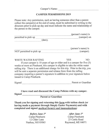#### CAMPER PERMISSIONS 2OI9

Please note: Any permission, such as having someone other than a parent collect the camper(s) at the end of camp, must be submitted in writing to the directors prior to pick-up day and must indicate the name and relationship of the person to the camper.

|                          | (person's name) is |
|--------------------------|--------------------|
| permitted to pick up     | (camper) on        |
| (date).                  |                    |
|                          | (person's name) is |
| NOT permitted to pick up | (camper).          |

WHITE WATER RAFTING YES NO If your camper is 10 years of age or older and is a camper for five (5) weeks or more at Pinehurst, this camper is eligible to take the white water rafting trip. There is an additional charge for this trip. Prior to the trip, you will be sent a separate permission and release form from the rafting company requiring a parent's signature in addition to your signature below issued to Camp Pinehurst.

Signed Parent or Guardian

I have read and discussed the Camp Policies with my camper. Signed

Parent or Guardian

Thank you for signing and returning this form with tuition check (or having made a payment through Simply Easier Payments) and with completed and signed medical form(s) and immunizations:

> Before June 1st Camp Pinehurst 12 Cider Lane Nashua, NH 03063

After June 1st Camp Pinehurst 23 Curtis Road Raymond, ME 04071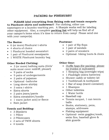# PACKING for PINEHURST

PLEASE label everything from fishing rods and tennis racquets to Pinehurst shirts and underwear!! For clothing, either use nametapes or a laundry-marking pen. A Sharpie works well for labeling other equipment. Also, a complete **packing list** will help us find all of your camper's items when it's time to return from camp! Please send one with your camper(s).

#### The Basics:

- . 6 (or more) Pinehurst t-shirts
- . 4 shorts of choice
- . 1 Pinehurst hooded sweatshirt
- . 1 pair of Pinehurst sweatpants
- $\bullet$  1 WHITE Pinehurst laundry bag

#### Other Needed Clothing:

- . 3 (or more) bathing suits (Girls' suits must cover midriff, please!)
- 9 pairs of socks
- . 9 pairs of undergarments
- o 2 pairs of pajamas
- . Optional -bathrobe
- . Long sleeve shirt(s)
- . 3 extra t-shirts
- . Extra shorts
- . 2 pairs jeans/pants
- ö Extra sweatshirt/hoodie
- $\bullet$  1 warm jacket and/or fleece
- . Rain jacket

#### Towels and Bedding:

- . 3 Blankets
- o 1 Pillow
- . 2 Pillowcases
- 2 sets of TWIN sheets
- $\bullet$  4 towels

#### **Footwear:**

- 1 pair of flip flops
- 1 pair of sandals
- . 2 pairs of sneakers
- . Optional- hiking boots & cleats

#### Other Gear:

- Duffle bags (for packing- please no trunks or suitcases!)
- 1 Sleeping bag (overnight trips)
- 1 Flashlight (extra batteries)
- . Shower caddy or toiletry kit
- 1 Toothbrush & toothpaste
- . 1 Bar of soap (travel container)
- 1 Shampoo
- Other toiletries<br>• 1 Water bottle
- 
- Baseball cap
- . Tennis racquet, 1 can tennis balls
- . Books, stationery, pens, stamps, addresses
- . Fishing equipment
- Optional- swim goggles/mask, swim fins, baseball glove & shin guards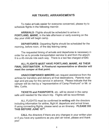## AIR TRAVEL ARRANGEMENTS

To make arrivals easier for everyone concerned, please try to schedule flights in the following manner.

ARRIVALS- Flights should be scheduled to arrive in PORTLAND, MAINE, in the late afternoon or early evening on the day your child will begin camp.

DEPARTURES- Departing flights should be scheduled for the morning, before noon, of the day leaving camp.

The requested timing of arrivals and departures is necessary in order for us to provide transportation service to and from the airport. It is a 45-minute ride each way. There is a taxi fee charged of  $$40.$ 

## ALL FLIGHTS MUST HAVE PORTLAND, MAINE, AS THEIR FINAL DESTINATION. A Pinehurst representative or director will meet the camper at that point.

UNACCOMPANIED MINORS can request assistance from the airlines for transfers and delivery at final destinations. Parents must sign and pre-pay for this service in advance. Please indicate that the camper will be met by a "representative of Camp Pinehurst" or Mr. or Mrs. Curtis.

TICKETS and PASSPORTS, etc. will be stored in the camp safe until needed for the return trip. Flights will be reconfirmed.

ALL FLIGHTS must be confirmed in writing with the directors including information for airline, flight #, departure and arrival times. lf using connecting flights, please send us an itinerary. PLEASE DO THIS BEFORE JUNE 15TH.

CALL the directors if there are any changes in your written plan or if you have any questions as you plan air travel, please and thank you!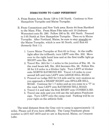#### DIRECTIONS TO CAMP PINEHURST

- A. From Boston Area: Route 128 to I-95 North. Continue to New Hampshire Turnpike and Maine Turnpike.
- B. From Connecticut and New York area: Route 84 from Hartford to the Mass. Pike. From Mass Pike take exit 10 (Auburn-Worcester) onto Rt. 290. Follow 290 to Rt. 495 North. Proceed to I-95 North at New Hampshire Turnpike. Then on to Maine Turnpike. After Portland, Maine, be sure to stay straight on the Maine Turnpike, which is now 95 North, until Exit 63  $(formerly Ext 11)$ .
	- 1. Leave Maine Turnpike at Exit 63 in Gray. At the traffic light after the tollbooth, turn LEFT onto Rte. 202. Move over to the right hand lane and at the first traffrc light go RIGHT onto Rte. 264.
	- 2. Travel Rte. 26A for 1.4 miles to the junction of Rte. 26. As the road bears left, Rte. 26A becomes Rte. 26. Follow Rte. 26 for 2.9 miles to a blinker light. Turn LEFT at blinker onto NORTH RAYMOND RD. Travel 4.8 miles to your second left and turn LEFT onto LEDGE HILL ROAD.
	- 3. Proceed on Ledge Hill for 0.8 mile and be very cautious as you approach a SHARP RIGHT onto SPILLER HILL ROAD. Continue for 1.7 miles and as you come to a "T" in the road, bear LEFT onto RAYMOND HILL ROAD.
	- 4. Travel 0.4 and take the first RIGHT onto CONESCA RD.
	- 5. Travel one mile and you will see the tall green Pinehurst sign. Turn LEFT onto the camp road. Parking will be on your right on the athletic field.

The total distance from the Gray exit to camp is approximately 12 miles. Please call if you have difficulty. The Camp Pinehurst phone number is (207) 627 -4670 and we are in Raymond, Maine, on Crescent Lake.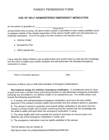# PARENT PERMISSION FORM

#### USE OF SELF-ADMINISTERED EMERGENCY MEDICATION

As the parent or guardian of <u>contract the camper Name</u>

during his/her time at camp, the above listed camper is permitted to have readily available (carry or possess outside of the regular supervision of the camp's health staff) and self-administer as medically necessary: (Circle all that apply or list other emergency self-medication device.)

- a. Asthma lnhaler
- b. Epinephrine Pen
- c. Other (please list)

I have read the State of Maine Law as listed below and confirm that my child has the knowledge and the skills to safely have readily available and self-administer the indicated emergency medication in camp.

Parent or Guardian signature **Date** Date

Summary of Maine Law on Self-Administration of Emergency Medications

Recreational camps for children; emergency medication. A recreational camp for boys or girls must have a written policy authorizing campers to self-administer emergency medication, including, but not limited to, an asthma inhaler or an epinephrine pen. The written policy must include the following requirements:

A, A camper who self-administers emergency medication must have the prior written approval of the camper's primary health care provider and the camper's parent or guardian;

B. The camper's parent or quardian must submit written verification to the camp from the camper's primary health care provider confirming that the camper has the knowledge and the skills to safely self-administer the emergency medication in camp;

C. The camp health staff must evaluate the camper's technique to ensure proper and effective use of the emergency medication in camp; and

D. The emergency medication must be readily available to the camper.

The full statute may be viewed at:

http://janus.state.me.us/legis/statutes/22/title22sec2496.html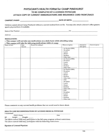#### PHYSICIAN'S HEALTH FORM for CAMP PINEHURST TO BE COMPLETED BY A LICENSED PHYSICIAN ATTACH COPY OF CURRENT IMMUNIZATIONS AND INSURANCE CARD FRONT/BACK

\_ DATE OF BIRTH:

Children cannot attend Camp Pinehurst without a current medical form on file. You may also attach a doctor's office generic sports physical form if available,

Name of the Physician: Tel

Address: and the contract of the contract of the contract of the contract of the contract of the contract of the contract of the contract of the contract of the contract of the contract of the contract of the contract of t

#### MEDICATIONS:

 $\sqcup$  This camper will not take any medications on a daily basis while attending camp.  $\Box$  This camper will take the following medications while at camp:

| -- -------<br>Name of med | Date    | - -<br>Reason for taking it | When is it given           | <b>Amount or</b> | How is it given |
|---------------------------|---------|-----------------------------|----------------------------|------------------|-----------------|
|                           | Started |                             |                            | dose given       |                 |
|                           |         |                             | <b>DAs Needed (PRN)</b>    |                  |                 |
|                           |         |                             | $\sqcup$ Breakfast         |                  |                 |
|                           |         |                             | $\Box$ Lunch               |                  |                 |
|                           |         |                             | $\sqcup$ Dinner            |                  |                 |
|                           |         |                             | $\Box$ Bedtime             |                  |                 |
|                           |         |                             | □ Other time ------------- |                  |                 |
|                           |         |                             | □ As Needed (PRN)          |                  |                 |
|                           |         |                             | $\square$ Breakfast        |                  |                 |
|                           |         |                             | $\Box$ Lunch               |                  |                 |
|                           |         |                             | $\Box$ Dinner              |                  |                 |
|                           |         |                             | <b>E</b> Bedtime           |                  |                 |
|                           |         |                             | □ Other time ------------- |                  |                 |
|                           |         |                             | As Needed (PRN)            |                  |                 |
|                           |         |                             | □ Breakfast                |                  |                 |
|                           |         |                             | $\sqcup$ Lunch             |                  |                 |
|                           |         |                             | $\Box$ Dinner              |                  |                 |
|                           |         |                             | $\sqcup$ Bedtime           |                  |                 |
|                           |         |                             | □ Other time ------------- |                  |                 |
|                           |         |                             | $\Box$ PRN                 |                  |                 |
|                           |         |                             | $\Box$ Breakfast           |                  |                 |
|                           |         |                             | □ Lunch                    |                  |                 |
|                           |         |                             | $\Box$ Dinner              |                  |                 |
|                           |         |                             | $\Box$ Bedtime             |                  |                 |
|                           |         |                             | □ Other time ------------- |                  |                 |
|                           |         |                             | $\Box$ PRN                 |                  |                 |
|                           |         |                             | □ Breakfast                |                  |                 |
|                           |         |                             | $\Box$<br>Lunch            |                  |                 |
|                           |         |                             | $\sqcup$ Dinner            |                  |                 |
|                           |         |                             | $\sqcup$ Bedtime           |                  |                 |
|                           |         |                             | □ Other time -----------   |                  |                 |

Please comment on any current health problems that we would need to know about

#### HEALTH CARE RECOMMENDATIONS BY LICENSED MEDICAL PHYSICIAN

I examined

Chiìd's Name Date

BP Height Weight:

The above named child may participate in the full camp program without restrictions. The above named child may participate with the following restrictions:

Signature of Licensed Physician: